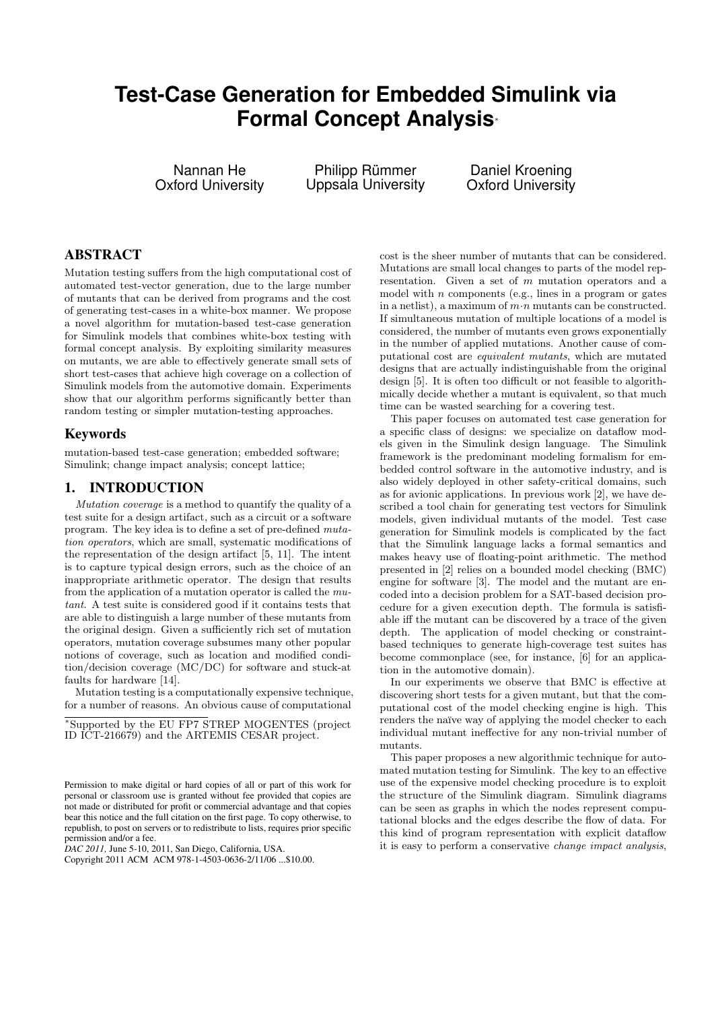# **Test-Case Generation for Embedded Simulink via Formal Concept Analysis**<sup>∗</sup>

Nannan He Oxford University

Philipp Rümmer Uppsala University

Daniel Kroening Oxford University

# ABSTRACT

Mutation testing suffers from the high computational cost of automated test-vector generation, due to the large number of mutants that can be derived from programs and the cost of generating test-cases in a white-box manner. We propose a novel algorithm for mutation-based test-case generation for Simulink models that combines white-box testing with formal concept analysis. By exploiting similarity measures on mutants, we are able to effectively generate small sets of short test-cases that achieve high coverage on a collection of Simulink models from the automotive domain. Experiments show that our algorithm performs significantly better than random testing or simpler mutation-testing approaches.

## Keywords

mutation-based test-case generation; embedded software; Simulink; change impact analysis; concept lattice;

# 1. INTRODUCTION

Mutation coverage is a method to quantify the quality of a test suite for a design artifact, such as a circuit or a software program. The key idea is to define a set of pre-defined mutation operators, which are small, systematic modifications of the representation of the design artifact [5, 11]. The intent is to capture typical design errors, such as the choice of an inappropriate arithmetic operator. The design that results from the application of a mutation operator is called the mutant. A test suite is considered good if it contains tests that are able to distinguish a large number of these mutants from the original design. Given a sufficiently rich set of mutation operators, mutation coverage subsumes many other popular notions of coverage, such as location and modified condition/decision coverage (MC/DC) for software and stuck-at faults for hardware [14].

Mutation testing is a computationally expensive technique, for a number of reasons. An obvious cause of computational

*DAC 2011,* June 5-10, 2011, San Diego, California, USA.

Copyright 2011 ACM ACM 978-1-4503-0636-2/11/06 ...\$10.00.

cost is the sheer number of mutants that can be considered. Mutations are small local changes to parts of the model representation. Given a set of m mutation operators and a model with  $n$  components (e.g., lines in a program or gates in a netlist), a maximum of  $m \cdot n$  mutants can be constructed. If simultaneous mutation of multiple locations of a model is considered, the number of mutants even grows exponentially in the number of applied mutations. Another cause of computational cost are equivalent mutants, which are mutated designs that are actually indistinguishable from the original design [5]. It is often too difficult or not feasible to algorithmically decide whether a mutant is equivalent, so that much time can be wasted searching for a covering test.

This paper focuses on automated test case generation for a specific class of designs: we specialize on dataflow models given in the Simulink design language. The Simulink framework is the predominant modeling formalism for embedded control software in the automotive industry, and is also widely deployed in other safety-critical domains, such as for avionic applications. In previous work [2], we have described a tool chain for generating test vectors for Simulink models, given individual mutants of the model. Test case generation for Simulink models is complicated by the fact that the Simulink language lacks a formal semantics and makes heavy use of floating-point arithmetic. The method presented in [2] relies on a bounded model checking (BMC) engine for software [3]. The model and the mutant are encoded into a decision problem for a SAT-based decision procedure for a given execution depth. The formula is satisfiable iff the mutant can be discovered by a trace of the given depth. The application of model checking or constraintbased techniques to generate high-coverage test suites has become commonplace (see, for instance, [6] for an application in the automotive domain).

In our experiments we observe that BMC is effective at discovering short tests for a given mutant, but that the computational cost of the model checking engine is high. This renders the naïve way of applying the model checker to each individual mutant ineffective for any non-trivial number of mutants.

This paper proposes a new algorithmic technique for automated mutation testing for Simulink. The key to an effective use of the expensive model checking procedure is to exploit the structure of the Simulink diagram. Simulink diagrams can be seen as graphs in which the nodes represent computational blocks and the edges describe the flow of data. For this kind of program representation with explicit dataflow it is easy to perform a conservative change impact analysis,

<sup>∗</sup>Supported by the EU FP7 STREP MOGENTES (project ID ICT-216679) and the ARTEMIS CESAR project.

Permission to make digital or hard copies of all or part of this work for personal or classroom use is granted without fee provided that copies are not made or distributed for profit or commercial advantage and that copies bear this notice and the full citation on the first page. To copy otherwise, to republish, to post on servers or to redistribute to lists, requires prior specific permission and/or a fee.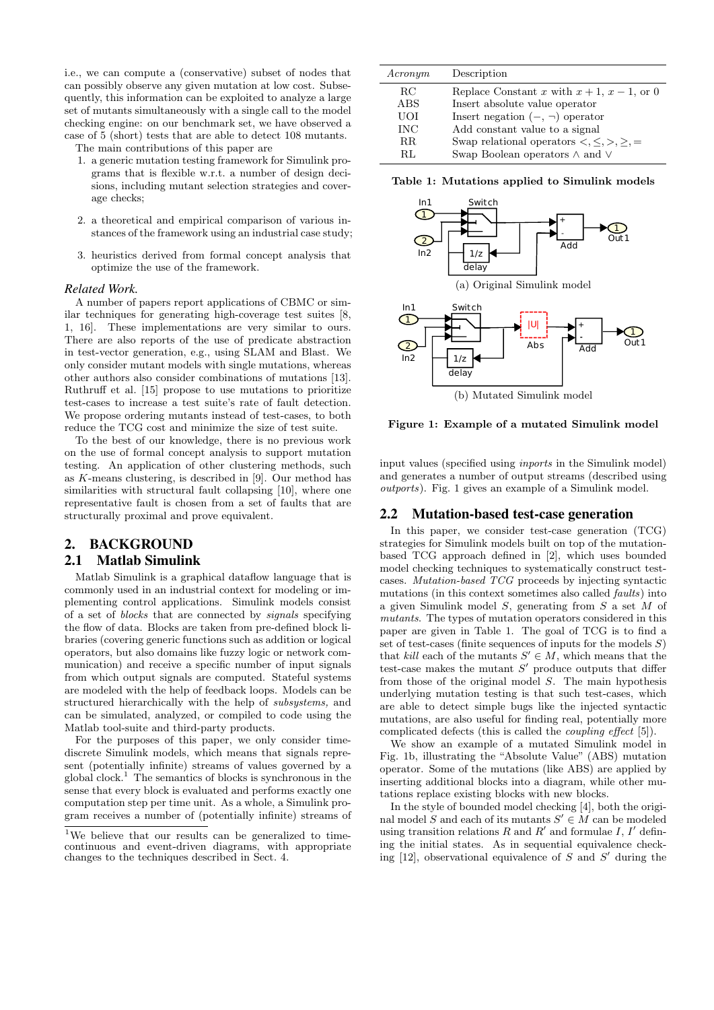i.e., we can compute a (conservative) subset of nodes that can possibly observe any given mutation at low cost. Subsequently, this information can be exploited to analyze a large set of mutants simultaneously with a single call to the model checking engine: on our benchmark set, we have observed a case of 5 (short) tests that are able to detect 108 mutants.

The main contributions of this paper are

- 1. a generic mutation testing framework for Simulink programs that is flexible w.r.t. a number of design decisions, including mutant selection strategies and coverage checks;
- 2. a theoretical and empirical comparison of various instances of the framework using an industrial case study;
- 3. heuristics derived from formal concept analysis that optimize the use of the framework.

#### *Related Work.*

A number of papers report applications of CBMC or similar techniques for generating high-coverage test suites [8, 1, 16]. These implementations are very similar to ours. There are also reports of the use of predicate abstraction in test-vector generation, e.g., using SLAM and Blast. We only consider mutant models with single mutations, whereas other authors also consider combinations of mutations [13]. Ruthruff et al. [15] propose to use mutations to prioritize test-cases to increase a test suite's rate of fault detection. We propose ordering mutants instead of test-cases, to both reduce the TCG cost and minimize the size of test suite.

To the best of our knowledge, there is no previous work on the use of formal concept analysis to support mutation testing. An application of other clustering methods, such as K-means clustering, is described in [9]. Our method has similarities with structural fault collapsing [10], where one representative fault is chosen from a set of faults that are structurally proximal and prove equivalent.

### 2. BACKGROUND

### 2.1 Matlab Simulink

Matlab Simulink is a graphical dataflow language that is commonly used in an industrial context for modeling or implementing control applications. Simulink models consist of a set of blocks that are connected by signals specifying the flow of data. Blocks are taken from pre-defined block libraries (covering generic functions such as addition or logical operators, but also domains like fuzzy logic or network communication) and receive a specific number of input signals from which output signals are computed. Stateful systems are modeled with the help of feedback loops. Models can be structured hierarchically with the help of subsystems, and can be simulated, analyzed, or compiled to code using the Matlab tool-suite and third-party products.

For the purposes of this paper, we only consider timediscrete Simulink models, which means that signals represent (potentially infinite) streams of values governed by a global  $clock.^1$  The semantics of blocks is synchronous in the sense that every block is evaluated and performs exactly one computation step per time unit. As a whole, a Simulink program receives a number of (potentially infinite) streams of

| Acronym     | Description                                                              |
|-------------|--------------------------------------------------------------------------|
| RC          | Replace Constant x with $x + 1$ , $x - 1$ , or 0                         |
| ABS         | Insert absolute value operator                                           |
| UOI         | Insert negation $(-, \neg)$ operator                                     |
| <b>INC</b>  | Add constant value to a signal                                           |
| $_{\rm RR}$ | Swap relational operators $\langle \langle \rangle, \rangle, \rangle, =$ |
| RL          | Swap Boolean operators $\wedge$ and $\vee$                               |

Table 1: Mutations applied to Simulink models



Figure 1: Example of a mutated Simulink model

input values (specified using inports in the Simulink model) and generates a number of output streams (described using outports). Fig. 1 gives an example of a Simulink model.

#### 2.2 Mutation-based test-case generation

In this paper, we consider test-case generation (TCG) strategies for Simulink models built on top of the mutationbased TCG approach defined in [2], which uses bounded model checking techniques to systematically construct testcases. Mutation-based TCG proceeds by injecting syntactic mutations (in this context sometimes also called faults) into a given Simulink model S, generating from S a set M of mutants. The types of mutation operators considered in this paper are given in Table 1. The goal of TCG is to find a set of test-cases (finite sequences of inputs for the models  $S$ ) that kill each of the mutants  $S' \in M$ , which means that the test-case makes the mutant  $S'$  produce outputs that differ from those of the original model  $S$ . The main hypothesis underlying mutation testing is that such test-cases, which are able to detect simple bugs like the injected syntactic mutations, are also useful for finding real, potentially more complicated defects (this is called the coupling effect [5]).

We show an example of a mutated Simulink model in Fig. 1b, illustrating the "Absolute Value" (ABS) mutation operator. Some of the mutations (like ABS) are applied by inserting additional blocks into a diagram, while other mutations replace existing blocks with new blocks.

In the style of bounded model checking [4], both the original model S and each of its mutants  $S' \in M$  can be modeled using transition relations R and R' and formulae I, I' defining the initial states. As in sequential equivalence checking  $[12]$ , observational equivalence of S and S' during the

<sup>&</sup>lt;sup>1</sup>We believe that our results can be generalized to timecontinuous and event-driven diagrams, with appropriate changes to the techniques described in Sect. 4.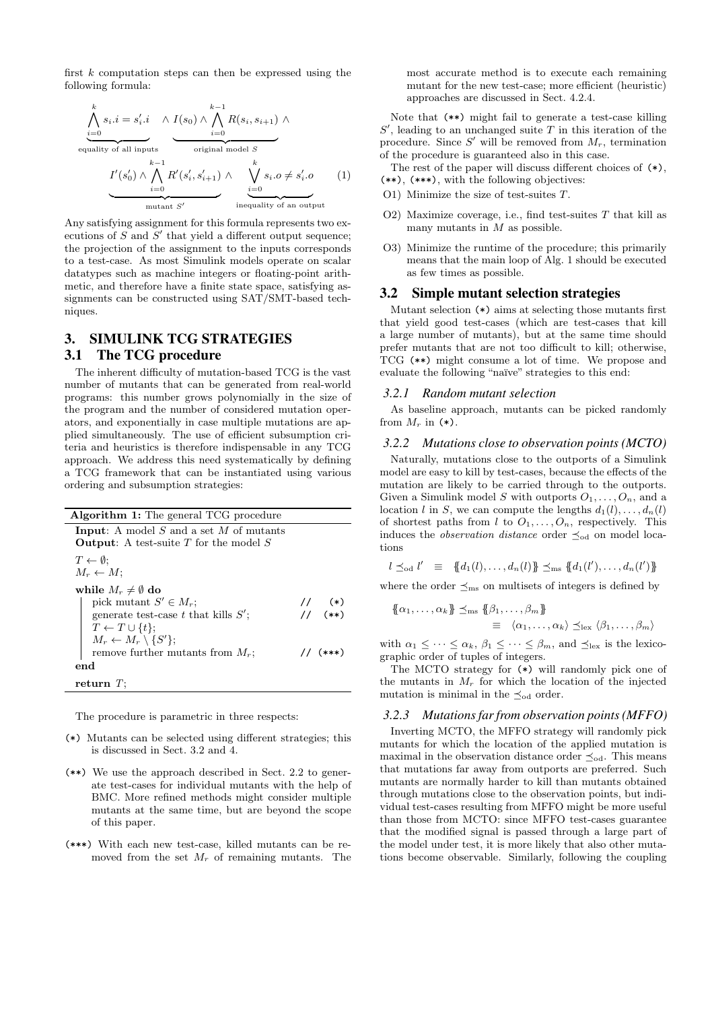first  $k$  computation steps can then be expressed using the following formula:

$$
\begin{array}{c}\n\bigwedge_{i=0}^{k} s_i.i = s'_i.i \quad \wedge I(s_0) \land \bigwedge_{i=0}^{k-1} R(s_i, s_{i+1}) \land \\
\text{equality of all inputs}\n\end{array}
$$
\n
$$
\begin{array}{c}\nI'(s'_0) \land \bigwedge_{i=0}^{k-1} R'(s'_i, s'_{i+1}) \land \bigvee_{i=0}^{k} s_i.o \neq s'_i.o \\
\text{mutant } s'\n\end{array}
$$
\n(1)

Any satisfying assignment for this formula represents two executions of  $S$  and  $S'$  that yield a different output sequence; the projection of the assignment to the inputs corresponds to a test-case. As most Simulink models operate on scalar datatypes such as machine integers or floating-point arithmetic, and therefore have a finite state space, satisfying assignments can be constructed using SAT/SMT-based techniques.

# 3. SIMULINK TCG STRATEGIES

#### 3.1 The TCG procedure

The inherent difficulty of mutation-based TCG is the vast number of mutants that can be generated from real-world programs: this number grows polynomially in the size of the program and the number of considered mutation operators, and exponentially in case multiple mutations are applied simultaneously. The use of efficient subsumption criteria and heuristics is therefore indispensable in any TCG approach. We address this need systematically by defining a TCG framework that can be instantiated using various ordering and subsumption strategies:

| <b>Algorithm 1:</b> The general TCG procedure  |  |                   |  |  |  |  |
|------------------------------------------------|--|-------------------|--|--|--|--|
| <b>Input:</b> A model S and a set M of mutants |  |                   |  |  |  |  |
| <b>Output:</b> A test-suite T for the model S  |  |                   |  |  |  |  |
| $T \leftarrow \emptyset$ :                     |  |                   |  |  |  |  |
| $M_r \leftarrow M$                             |  |                   |  |  |  |  |
| while $M_r \neq \emptyset$ do                  |  |                   |  |  |  |  |
| pick mutant $S' \in M_r$ ;                     |  | $\frac{1}{1}$ (*) |  |  |  |  |
| generate test-case t that kills $S'$ ;         |  | $1/$ (**)         |  |  |  |  |
| $T \leftarrow T \cup \{t\};$                   |  |                   |  |  |  |  |
| $M_r \leftarrow M_r \setminus \{S'\};$         |  |                   |  |  |  |  |
| remove further mutants from $M_r$ ;            |  | $11$ $(***)$      |  |  |  |  |
| end                                            |  |                   |  |  |  |  |
| return $T$ :                                   |  |                   |  |  |  |  |

The procedure is parametric in three respects:

- (\*) Mutants can be selected using different strategies; this is discussed in Sect. 3.2 and 4.
- (\*\*) We use the approach described in Sect. 2.2 to generate test-cases for individual mutants with the help of BMC. More refined methods might consider multiple mutants at the same time, but are beyond the scope of this paper.
- (\*\*\*) With each new test-case, killed mutants can be removed from the set  $M_r$  of remaining mutants. The

most accurate method is to execute each remaining mutant for the new test-case; more efficient (heuristic) approaches are discussed in Sect. 4.2.4.

Note that (\*\*) might fail to generate a test-case killing  $S'$ , leading to an unchanged suite  $T$  in this iteration of the procedure. Since  $S'$  will be removed from  $M_r$ , termination of the procedure is guaranteed also in this case.

The rest of the paper will discuss different choices of (\*), (\*\*), (\*\*\*), with the following objectives:

- O1) Minimize the size of test-suites T.
- O2) Maximize coverage, i.e., find test-suites  $T$  that kill as many mutants in  $M$  as possible.
- O3) Minimize the runtime of the procedure; this primarily means that the main loop of Alg. 1 should be executed as few times as possible.

## 3.2 Simple mutant selection strategies

Mutant selection (\*) aims at selecting those mutants first that yield good test-cases (which are test-cases that kill a large number of mutants), but at the same time should prefer mutants that are not too difficult to kill; otherwise, TCG (\*\*) might consume a lot of time. We propose and evaluate the following "naïve" strategies to this end:

#### *3.2.1 Random mutant selection*

As baseline approach, mutants can be picked randomly from  $M_r$  in  $(*)$ .

#### *3.2.2 Mutations close to observation points (MCTO)*

Naturally, mutations close to the outports of a Simulink model are easy to kill by test-cases, because the effects of the mutation are likely to be carried through to the outports. Given a Simulink model S with outports  $O_1, \ldots, O_n$ , and a location l in S, we can compute the lengths  $d_1(l), \ldots, d_n(l)$ of shortest paths from l to  $O_1, \ldots, O_n$ , respectively. This induces the *observation distance* order  $\preceq_{\text{od}}$  on model locations

$$
l \preceq_{\text{od}} l' \equiv \{d_1(l), \ldots, d_n(l)\} \preceq_{\text{ms}} \{d_1(l'), \ldots, d_n(l')\}
$$

where the order  $\prec_{\text{ms}}$  on multisets of integers is defined by

$$
\begin{aligned} \{\!\!\{\alpha_1,\ldots,\alpha_k\}\!\!\} &\leq_{\text{ms}} \{\!\!\{\beta_1,\ldots,\beta_m\}\!\!\} \\ &\equiv \langle \alpha_1,\ldots,\alpha_k \rangle \leq_{\text{lex}} \langle \beta_1,\ldots,\beta_m \rangle \end{aligned}
$$

with  $\alpha_1 \leq \cdots \leq \alpha_k$ ,  $\beta_1 \leq \cdots \leq \beta_m$ , and  $\preceq_{\text{lex}}$  is the lexicographic order of tuples of integers.

The MCTO strategy for (\*) will randomly pick one of the mutants in  $M_r$  for which the location of the injected mutation is minimal in the  $\preceq_{\text{od}}$  order.

#### *3.2.3 Mutations far from observation points (MFFO)*

Inverting MCTO, the MFFO strategy will randomly pick mutants for which the location of the applied mutation is maximal in the observation distance order  $\preceq_{\text{od}}$ . This means that mutations far away from outports are preferred. Such mutants are normally harder to kill than mutants obtained through mutations close to the observation points, but individual test-cases resulting from MFFO might be more useful than those from MCTO: since MFFO test-cases guarantee that the modified signal is passed through a large part of the model under test, it is more likely that also other mutations become observable. Similarly, following the coupling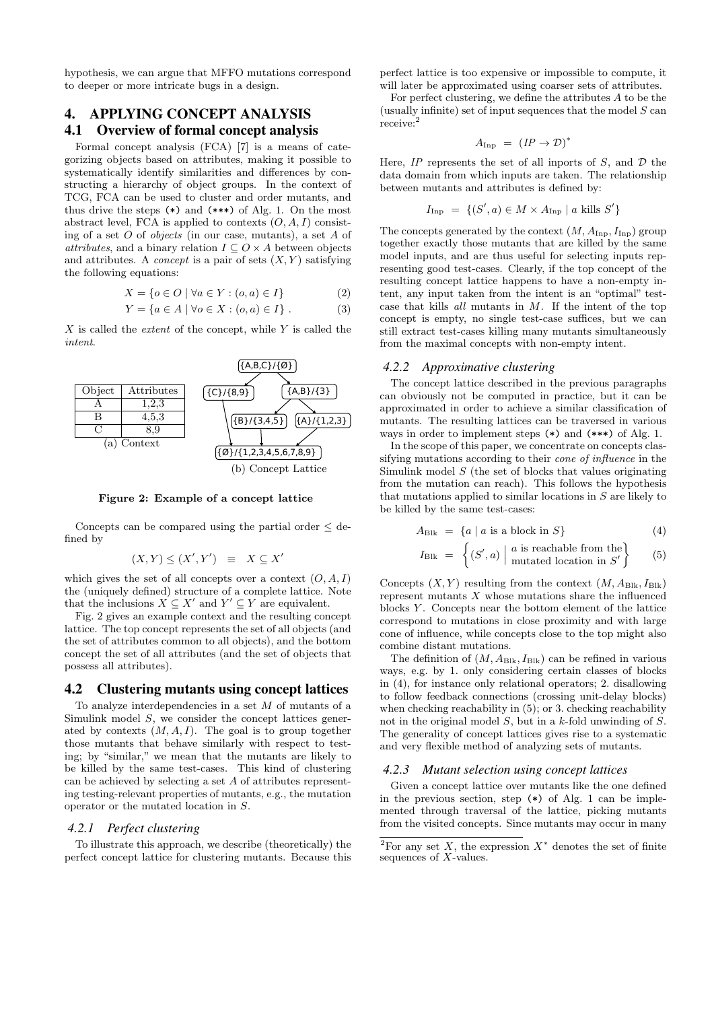hypothesis, we can argue that MFFO mutations correspond to deeper or more intricate bugs in a design.

# 4. APPLYING CONCEPT ANALYSIS

# 4.1 Overview of formal concept analysis

Formal concept analysis (FCA) [7] is a means of categorizing objects based on attributes, making it possible to systematically identify similarities and differences by constructing a hierarchy of object groups. In the context of TCG, FCA can be used to cluster and order mutants, and thus drive the steps (\*) and (\*\*\*) of Alg. 1. On the most abstract level, FCA is applied to contexts  $(O, A, I)$  consisting of a set O of objects (in our case, mutants), a set A of attributes, and a binary relation  $I \subseteq O \times A$  between objects and attributes. A *concept* is a pair of sets  $(X, Y)$  satisfying the following equations:

$$
X = \{ o \in O \mid \forall a \in Y : (o, a) \in I \}
$$
 (2)

$$
Y = \{ a \in A \mid \forall o \in X : (o, a) \in I \} .
$$
 (3)

 $X$  is called the *extent* of the concept, while  $Y$  is called the intent.



Figure 2: Example of a concept lattice

Concepts can be compared using the partial order  $\leq$  defined by

$$
(X,Y) \le (X',Y') \equiv X \subseteq X'
$$

which gives the set of all concepts over a context  $(O, A, I)$ the (uniquely defined) structure of a complete lattice. Note that the inclusions  $X \subseteq X'$  and  $Y' \subseteq Y$  are equivalent.

Fig. 2 gives an example context and the resulting concept lattice. The top concept represents the set of all objects (and the set of attributes common to all objects), and the bottom concept the set of all attributes (and the set of objects that possess all attributes).

#### 4.2 Clustering mutants using concept lattices

To analyze interdependencies in a set M of mutants of a Simulink model  $S$ , we consider the concept lattices generated by contexts  $(M, A, I)$ . The goal is to group together those mutants that behave similarly with respect to testing; by "similar," we mean that the mutants are likely to be killed by the same test-cases. This kind of clustering can be achieved by selecting a set A of attributes representing testing-relevant properties of mutants, e.g., the mutation operator or the mutated location in S.

#### *4.2.1 Perfect clustering*

To illustrate this approach, we describe (theoretically) the perfect concept lattice for clustering mutants. Because this perfect lattice is too expensive or impossible to compute, it will later be approximated using coarser sets of attributes.

For perfect clustering, we define the attributes A to be the (usually infinite) set of input sequences that the model  $S$  can receive:<sup>2</sup>

$$
A_{\text{Inp}} = (IP \to \mathcal{D})^*
$$

Here,  $IP$  represents the set of all inports of  $S$ , and  $D$  the data domain from which inputs are taken. The relationship between mutants and attributes is defined by:

$$
I_{\text{Inp}} = \{ (S', a) \in M \times A_{\text{Inp}} \mid a \text{ kills } S' \}
$$

The concepts generated by the context  $(M, A_{\text{Inp}}, I_{\text{Inp}})$  group together exactly those mutants that are killed by the same model inputs, and are thus useful for selecting inputs representing good test-cases. Clearly, if the top concept of the resulting concept lattice happens to have a non-empty intent, any input taken from the intent is an "optimal" testcase that kills all mutants in M. If the intent of the top concept is empty, no single test-case suffices, but we can still extract test-cases killing many mutants simultaneously from the maximal concepts with non-empty intent.

#### *4.2.2 Approximative clustering*

The concept lattice described in the previous paragraphs can obviously not be computed in practice, but it can be approximated in order to achieve a similar classification of mutants. The resulting lattices can be traversed in various ways in order to implement steps (\*) and (\*\*\*) of Alg. 1.

In the scope of this paper, we concentrate on concepts classifying mutations according to their cone of influence in the Simulink model  $S$  (the set of blocks that values originating from the mutation can reach). This follows the hypothesis that mutations applied to similar locations in S are likely to be killed by the same test-cases:

$$
A_{\text{Blk}} = \{a \mid a \text{ is a block in } S\} \tag{4}
$$

$$
I_{\text{Blk}} = \left\{ (S', a) \mid \begin{array}{c} a \text{ is reachable from the} \\ \text{mutated location in } S' \end{array} \right\} \tag{5}
$$

Concepts  $(X, Y)$  resulting from the context  $(M, A_{\text{Blk}}, I_{\text{Blk}})$ represent mutants  $X$  whose mutations share the influenced blocks  $Y$ . Concepts near the bottom element of the lattice correspond to mutations in close proximity and with large cone of influence, while concepts close to the top might also combine distant mutations.

The definition of  $(M, A_{\text{Blk}}, I_{\text{Blk}})$  can be refined in various ways, e.g. by 1. only considering certain classes of blocks in (4), for instance only relational operators; 2. disallowing to follow feedback connections (crossing unit-delay blocks) when checking reachability in  $(5)$ ; or 3. checking reachability not in the original model  $S$ , but in a k-fold unwinding of  $S$ . The generality of concept lattices gives rise to a systematic and very flexible method of analyzing sets of mutants.

#### *4.2.3 Mutant selection using concept lattices*

Given a concept lattice over mutants like the one defined in the previous section, step (\*) of Alg. 1 can be implemented through traversal of the lattice, picking mutants from the visited concepts. Since mutants may occur in many

<sup>&</sup>lt;sup>2</sup>For any set X, the expression  $X^*$  denotes the set of finite sequences of X-values.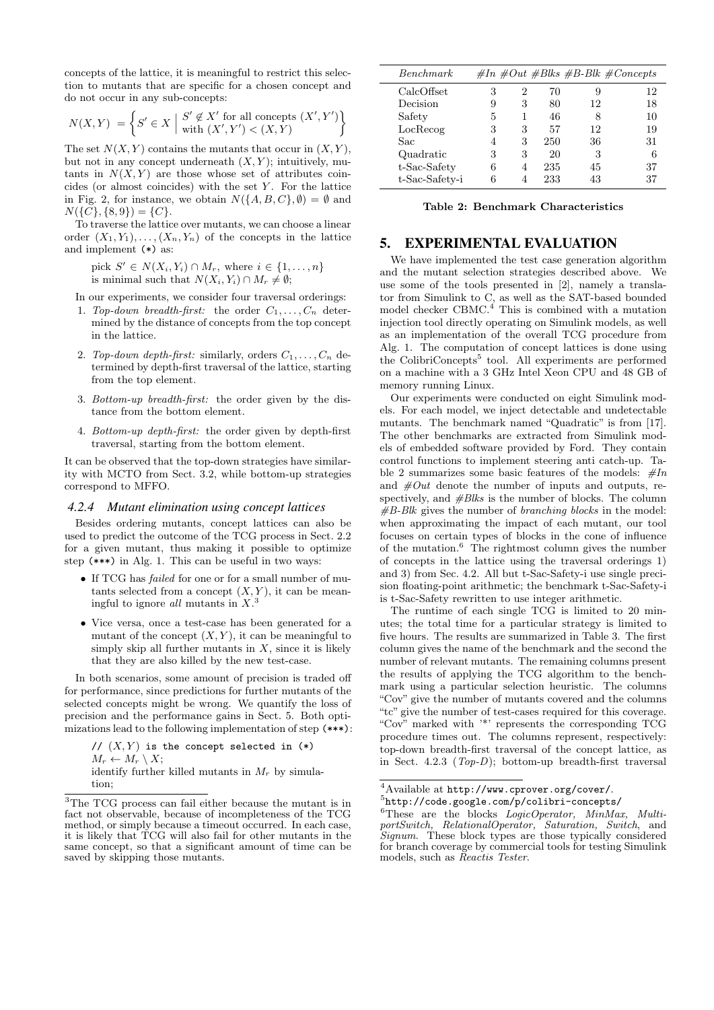concepts of the lattice, it is meaningful to restrict this selection to mutants that are specific for a chosen concept and do not occur in any sub-concepts:

$$
N(X,Y) = \left\{ S' \in X \mid \begin{matrix} S' \notin X' \text{ for all concepts } (X',Y')\\ \text{with } (X',Y') < (X,Y) \end{matrix} \right\}
$$

The set  $N(X, Y)$  contains the mutants that occur in  $(X, Y)$ , but not in any concept underneath  $(X, Y)$ ; intuitively, mutants in  $N(X, Y)$  are those whose set of attributes coincides (or almost coincides) with the set  $Y$ . For the lattice in Fig. 2, for instance, we obtain  $N({A, B, C}, \emptyset) = \emptyset$  and  $N({C}, {8, 9}) = {C}.$ 

To traverse the lattice over mutants, we can choose a linear order  $(X_1, Y_1), \ldots, (X_n, Y_n)$  of the concepts in the lattice and implement (\*) as:

pick  $S' \in N(X_i, Y_i) \cap M_r$ , where  $i \in \{1, \ldots, n\}$ is minimal such that  $N(X_i, Y_i) \cap M_r \neq \emptyset;$ 

In our experiments, we consider four traversal orderings:

- 1. Top-down breadth-first: the order  $C_1, \ldots, C_n$  determined by the distance of concepts from the top concept in the lattice.
- 2. Top-down depth-first: similarly, orders  $C_1, \ldots, C_n$  determined by depth-first traversal of the lattice, starting from the top element.
- 3. Bottom-up breadth-first: the order given by the distance from the bottom element.
- 4. Bottom-up depth-first: the order given by depth-first traversal, starting from the bottom element.

It can be observed that the top-down strategies have similarity with MCTO from Sect. 3.2, while bottom-up strategies correspond to MFFO.

#### *4.2.4 Mutant elimination using concept lattices*

Besides ordering mutants, concept lattices can also be used to predict the outcome of the TCG process in Sect. 2.2 for a given mutant, thus making it possible to optimize step (\*\*\*) in Alg. 1. This can be useful in two ways:

- If TCG has failed for one or for a small number of mutants selected from a concept  $(X, Y)$ , it can be meaningful to ignore all mutants in  $X$ <sup>3</sup>
- Vice versa, once a test-case has been generated for a mutant of the concept  $(X, Y)$ , it can be meaningful to simply skip all further mutants in  $X$ , since it is likely that they are also killed by the new test-case.

In both scenarios, some amount of precision is traded off for performance, since predictions for further mutants of the selected concepts might be wrong. We quantify the loss of precision and the performance gains in Sect. 5. Both optimizations lead to the following implementation of step (\*\*\*):

//  $(X, Y)$  is the concept selected in  $(*)$  $M_r \leftarrow M_r \setminus X;$ identify further killed mutants in  $M_r$  by simulation;

| Benchmark      |   |   |     | $\#In \#Out \#Blks \#B-Blk \#Concepts$ |    |
|----------------|---|---|-----|----------------------------------------|----|
| CalcOffset     | 3 | 2 | 70  | 9                                      | 12 |
| Decision       | 9 | 3 | 80  | 12                                     | 18 |
| Safety         | 5 |   | 46  | 8                                      | 10 |
| LocRecog       | 3 | З | 57  | 12                                     | 19 |
| Sac            | 4 | З | 250 | 36                                     | 31 |
| Quadratic      | 3 | З | 20  | 3                                      | 6  |
| t-Sac-Safety   | 6 | 4 | 235 | 45                                     | 37 |
| t-Sac-Safety-i |   |   | 233 | 43                                     | 37 |

Table 2: Benchmark Characteristics

# 5. EXPERIMENTAL EVALUATION

We have implemented the test case generation algorithm and the mutant selection strategies described above. We use some of the tools presented in [2], namely a translator from Simulink to C, as well as the SAT-based bounded model checker CBMC.<sup>4</sup> This is combined with a mutation injection tool directly operating on Simulink models, as well as an implementation of the overall TCG procedure from Alg. 1. The computation of concept lattices is done using the ColibriConcepts<sup>5</sup> tool. All experiments are performed on a machine with a 3 GHz Intel Xeon CPU and 48 GB of memory running Linux.

Our experiments were conducted on eight Simulink models. For each model, we inject detectable and undetectable mutants. The benchmark named "Quadratic" is from [17]. The other benchmarks are extracted from Simulink models of embedded software provided by Ford. They contain control functions to implement steering anti catch-up. Table 2 summarizes some basic features of the models:  $#In$ and  $\#Out$  denote the number of inputs and outputs, respectively, and  $#Blks$  is the number of blocks. The column  $#B-Blk$  gives the number of *branching blocks* in the model: when approximating the impact of each mutant, our tool focuses on certain types of blocks in the cone of influence of the mutation.<sup>6</sup> The rightmost column gives the number of concepts in the lattice using the traversal orderings 1) and 3) from Sec. 4.2. All but t-Sac-Safety-i use single precision floating-point arithmetic; the benchmark t-Sac-Safety-i is t-Sac-Safety rewritten to use integer arithmetic.

The runtime of each single TCG is limited to 20 minutes; the total time for a particular strategy is limited to five hours. The results are summarized in Table 3. The first column gives the name of the benchmark and the second the number of relevant mutants. The remaining columns present the results of applying the TCG algorithm to the benchmark using a particular selection heuristic. The columns "Cov" give the number of mutants covered and the columns "tc" give the number of test-cases required for this coverage. "Cov" marked with '\*' represents the corresponding TCG procedure times out. The columns represent, respectively: top-down breadth-first traversal of the concept lattice, as in Sect. 4.2.3 ( $Top-D$ ); bottom-up breadth-first traversal

<sup>3</sup>The TCG process can fail either because the mutant is in fact not observable, because of incompleteness of the TCG method, or simply because a timeout occurred. In each case, it is likely that TCG will also fail for other mutants in the same concept, so that a significant amount of time can be saved by skipping those mutants.

 ${}^4\mathrm{Available}$  at  $\texttt{http://www.cprover.org/cover/.}$ 

<sup>5</sup> http://code.google.com/p/colibri-concepts/

 ${}^{6}$ These are the blocks *LogicOperator*, *MinMax*, *Multi*portSwitch, RelationalOperator, Saturation, Switch, and Signum. These block types are those typically considered for branch coverage by commercial tools for testing Simulink models, such as Reactis Tester.